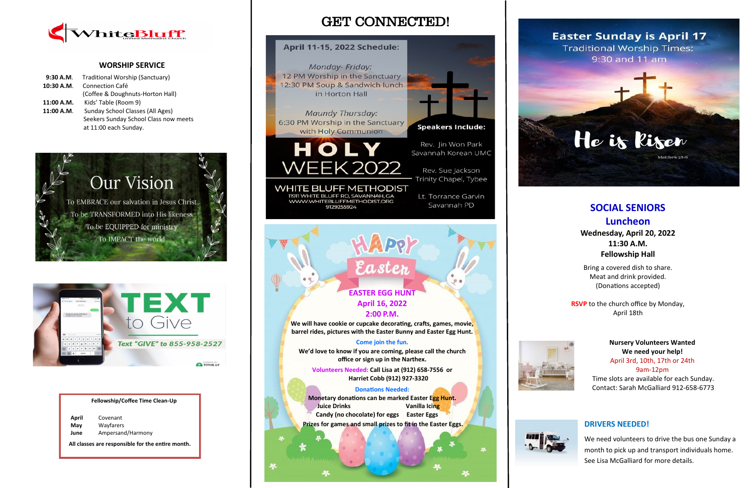## GET CONNECTED!

## April 11-15, 2022 Schedule:

Monday- Friday: 12 PM Worship in the Sanctuary 12:30 PM Soup & Sandwich lunch in Horton Hall

Maundy Thursday: 6:30 PM Worship in the Sanctuary with Holy Communion



**WHITE BLUFF METHODIST** 11911 WHITE BLUFF RD, SAVANNAH, GA WWW.WHITEBLUFFMETHODIST.ORG 9129255924



**Speakers Include:** 

Rev. Jin Won Park Savannah Korean UMC

Rev. Sue Jackson Trinity Chapel, Tybee

Lt. Torrance Garvin Savannah PD



### **WORSHIP SERVICE**

| 9:30 A.M.  | Traditional Worship (Sanctuary)       |
|------------|---------------------------------------|
| 10:30 A.M. | <b>Connection Café</b>                |
|            | (Coffee & Doughnuts-Horton Hall)      |
| 11:00 A.M. | Kids' Table (Room 9)                  |
| 11:00 A.M. | Sunday School Classes (All Ages)      |
|            | Seekers Sunday School Class now meets |
|            | at 11:00 each Sunday.                 |
|            |                                       |





**Nursery Volunteers Wanted We need your help!**

April 3rd, 10th, 17th or 24th 9am-12pm Time slots are available for each Sunday. Contact: Sarah McGalliard 912-658-6773

#### **Fellowship/Coffee Time Clean-Up**

| April       | Covenant                                          |
|-------------|---------------------------------------------------|
| May<br>June | Wayfarers<br>Ampersand/Harmony                    |
|             | All classes are responsible for the entire month. |

## **DRIVERS NEEDED!**

We need volunteers to drive the bus one Sunday a month to pick up and transport individuals home. See Lisa McGalliard for more details.

**EASTER EGG HUNT April 16, 2022**

Easte

**2:00 P.M.**

**We will have cookie or cupcake decorating, crafts, games, movie, barrel rides, pictures with the Easter Bunny and Easter Egg Hunt.**

#### **Come join the fun.**

**We'd love to know if you are coming, please call the church office or sign up in the Narthex.**

**Volunteers Needed: Call Lisa at (912) 658-7556 or Harriet Cobb (912) 927-3320**

#### **Donations Needed:**

**Monetary donations can be marked Easter Egg Hunt.** *Juice Drinks* **Vanilla Icing Candy (no chocolate) for eggs Easter Eggs Prizes for games and small prizes to fit in the Easter Eggs.**







# **SOCIAL SENIORS Luncheon**

**Wednesday, April 20, 2022 11:30 A.M. Fellowship Hall**

Bring a covered dish to share. Meat and drink provided. (Donations accepted)

**RSVP** to the church office by Monday, April 18th